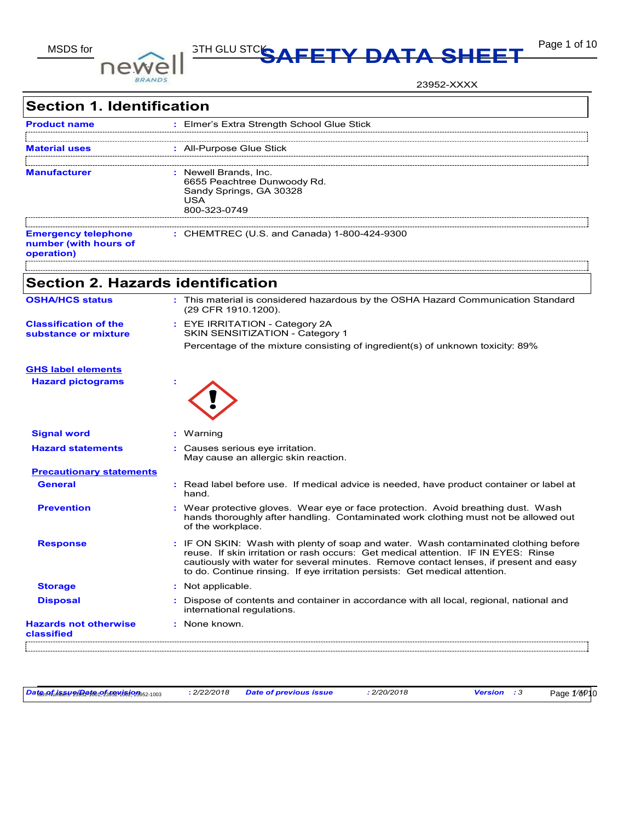

# MSDS for **DOIMALLY STHELU STCKS AFETY DATA SHEET** Page 1 of 10

23952-XXXX

| <b>Section 1. Identification</b>                                  |                                                                                                                                                                                                                                                                                                                                                   |
|-------------------------------------------------------------------|---------------------------------------------------------------------------------------------------------------------------------------------------------------------------------------------------------------------------------------------------------------------------------------------------------------------------------------------------|
| <b>Product name</b>                                               | : Elmer's Extra Strength School Glue Stick                                                                                                                                                                                                                                                                                                        |
| <b>Material uses</b>                                              | : All-Purpose Glue Stick                                                                                                                                                                                                                                                                                                                          |
| <b>Manufacturer</b>                                               | : Newell Brands, Inc.<br>6655 Peachtree Dunwoody Rd.<br>Sandy Springs, GA 30328<br>USA<br>800-323-0749                                                                                                                                                                                                                                            |
| <b>Emergency telephone</b><br>number (with hours of<br>operation) | : CHEMTREC (U.S. and Canada) 1-800-424-9300                                                                                                                                                                                                                                                                                                       |
| <b>Section 2. Hazards identification</b>                          |                                                                                                                                                                                                                                                                                                                                                   |
| <b>OSHA/HCS status</b>                                            | : This material is considered hazardous by the OSHA Hazard Communication Standard<br>(29 CFR 1910.1200).                                                                                                                                                                                                                                          |
| <b>Classification of the</b><br>substance or mixture              | : EYE IRRITATION - Category 2A<br>SKIN SENSITIZATION - Category 1<br>Percentage of the mixture consisting of ingredient(s) of unknown toxicity: 89%                                                                                                                                                                                               |
| <b>GHS label elements</b><br><b>Hazard pictograms</b>             |                                                                                                                                                                                                                                                                                                                                                   |
| <b>Signal word</b>                                                | : Warning                                                                                                                                                                                                                                                                                                                                         |
| <b>Hazard statements</b>                                          | : Causes serious eye irritation.<br>May cause an allergic skin reaction.                                                                                                                                                                                                                                                                          |
| <b>Precautionary statements</b>                                   |                                                                                                                                                                                                                                                                                                                                                   |
| <b>General</b>                                                    | : Read label before use. If medical advice is needed, have product container or label at<br>hand.                                                                                                                                                                                                                                                 |
| <b>Prevention</b>                                                 | : Wear protective gloves. Wear eye or face protection. Avoid breathing dust. Wash<br>hands thoroughly after handling. Contaminated work clothing must not be allowed out<br>of the workplace.                                                                                                                                                     |
| <b>Response</b>                                                   | : IF ON SKIN: Wash with plenty of soap and water. Wash contaminated clothing before<br>reuse. If skin irritation or rash occurs: Get medical attention. IF IN EYES: Rinse<br>cautiously with water for several minutes. Remove contact lenses, if present and easy<br>to do. Continue rinsing. If eye irritation persists: Get medical attention. |
| <b>Storage</b>                                                    | Not applicable.                                                                                                                                                                                                                                                                                                                                   |
| <b>Disposal</b>                                                   | Dispose of contents and container in accordance with all local, regional, national and<br>international regulations.                                                                                                                                                                                                                              |
| <b>Hazards not otherwise</b><br>classified                        | : None known.                                                                                                                                                                                                                                                                                                                                     |

*Date of issue/Date of revision* **:** *2/22/2018 Date of previous issue : 2/20/2018 Version : 3 1/10* Item Numbers: 23952-1001, 23952-1002, 23952-1003 Page 1 of 10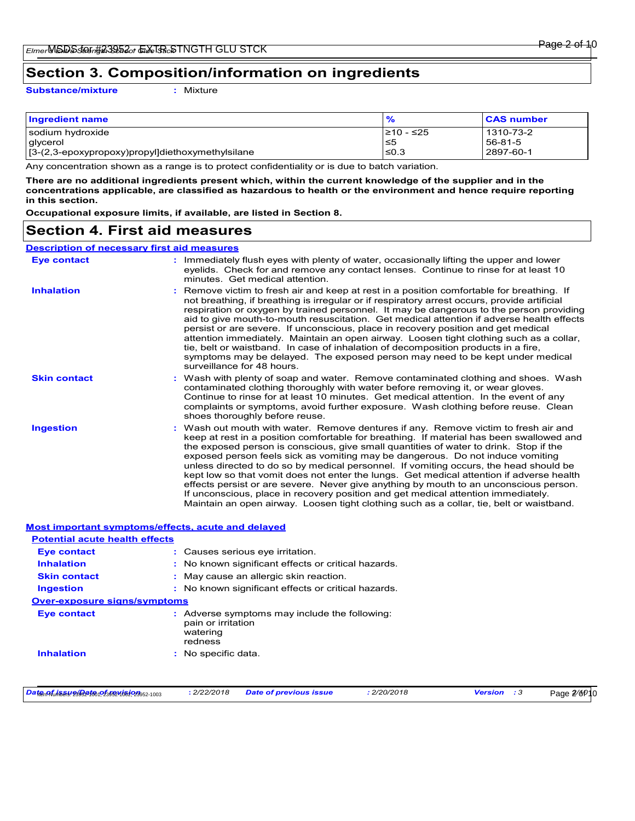### **Section 3. Composition/information on ingredients**

**Substance/mixture :** Mixture

| <b>Ingredient name</b>                           | %          | <b>CAS number</b> |
|--------------------------------------------------|------------|-------------------|
| sodium hydroxide                                 | 210 - ≤25  | 1310-73-2         |
| glycerol                                         | ≤5         | 56-81-5           |
| [3-(2,3-epoxypropoxy)propyl]diethoxymethylsilane | $\leq 0.3$ | 2897-60-1         |

Any concentration shown as a range is to protect confidentiality or is due to batch variation.

**There are no additional ingredients present which, within the current knowledge of the supplier and in the concentrations applicable, are classified as hazardous to health or the environment and hence require reporting in this section.**

**Occupational exposure limits, if available, are listed in Section 8.**

### **Section 4. First aid measures**

#### **Description of necessary first aid measures**

| <b>Eye contact</b>                                        | : Immediately flush eyes with plenty of water, occasionally lifting the upper and lower<br>eyelids. Check for and remove any contact lenses. Continue to rinse for at least 10<br>minutes. Get medical attention.                                                                                                                                                                                                                                                                                                                                                                                                                                                                                                                                                                                                         |
|-----------------------------------------------------------|---------------------------------------------------------------------------------------------------------------------------------------------------------------------------------------------------------------------------------------------------------------------------------------------------------------------------------------------------------------------------------------------------------------------------------------------------------------------------------------------------------------------------------------------------------------------------------------------------------------------------------------------------------------------------------------------------------------------------------------------------------------------------------------------------------------------------|
| <b>Inhalation</b>                                         | : Remove victim to fresh air and keep at rest in a position comfortable for breathing. If<br>not breathing, if breathing is irregular or if respiratory arrest occurs, provide artificial<br>respiration or oxygen by trained personnel. It may be dangerous to the person providing<br>aid to give mouth-to-mouth resuscitation. Get medical attention if adverse health effects<br>persist or are severe. If unconscious, place in recovery position and get medical<br>attention immediately. Maintain an open airway. Loosen tight clothing such as a collar,<br>tie, belt or waistband. In case of inhalation of decomposition products in a fire,<br>symptoms may be delayed. The exposed person may need to be kept under medical<br>surveillance for 48 hours                                                     |
| <b>Skin contact</b>                                       | : Wash with plenty of soap and water. Remove contaminated clothing and shoes. Wash<br>contaminated clothing thoroughly with water before removing it, or wear gloves.<br>Continue to rinse for at least 10 minutes. Get medical attention. In the event of any<br>complaints or symptoms, avoid further exposure. Wash clothing before reuse. Clean<br>shoes thoroughly before reuse.                                                                                                                                                                                                                                                                                                                                                                                                                                     |
| <b>Ingestion</b>                                          | : Wash out mouth with water. Remove dentures if any. Remove victim to fresh air and<br>keep at rest in a position comfortable for breathing. If material has been swallowed and<br>the exposed person is conscious, give small quantities of water to drink. Stop if the<br>exposed person feels sick as vomiting may be dangerous. Do not induce vomiting<br>unless directed to do so by medical personnel. If vomiting occurs, the head should be<br>kept low so that vomit does not enter the lungs. Get medical attention if adverse health<br>effects persist or are severe. Never give anything by mouth to an unconscious person.<br>If unconscious, place in recovery position and get medical attention immediately.<br>Maintain an open airway. Loosen tight clothing such as a collar, tie, belt or waistband. |
| <b>Most important symptoms/effects, acute and delayed</b> |                                                                                                                                                                                                                                                                                                                                                                                                                                                                                                                                                                                                                                                                                                                                                                                                                           |

| <b>Potential acute health effects</b>                     |    |                                           |                                                     |             |                    |             |
|-----------------------------------------------------------|----|-------------------------------------------|-----------------------------------------------------|-------------|--------------------|-------------|
| <b>Eve contact</b>                                        |    |                                           | : Causes serious eve irritation.                    |             |                    |             |
| <b>Inhalation</b>                                         |    |                                           | : No known significant effects or critical hazards. |             |                    |             |
| <b>Skin contact</b>                                       |    |                                           | : May cause an allergic skin reaction.              |             |                    |             |
| <b>Ingestion</b>                                          |    |                                           | : No known significant effects or critical hazards. |             |                    |             |
| <b>Over-exposure signs/symptoms</b>                       |    |                                           |                                                     |             |                    |             |
| <b>Eve contact</b>                                        | ÷. | pain or irritation<br>watering<br>redness | Adverse symptoms may include the following:         |             |                    |             |
| <b>Inhalation</b>                                         |    | : No specific data.                       |                                                     |             |                    |             |
|                                                           |    |                                           |                                                     |             |                    |             |
| Date of <i>issue</i> @ate of revision <sub>052-1003</sub> |    | : 2/22/2018                               | <b>Date of previous issue</b>                       | : 2/20/2018 | <b>Version</b> : 3 | Page 2/6P10 |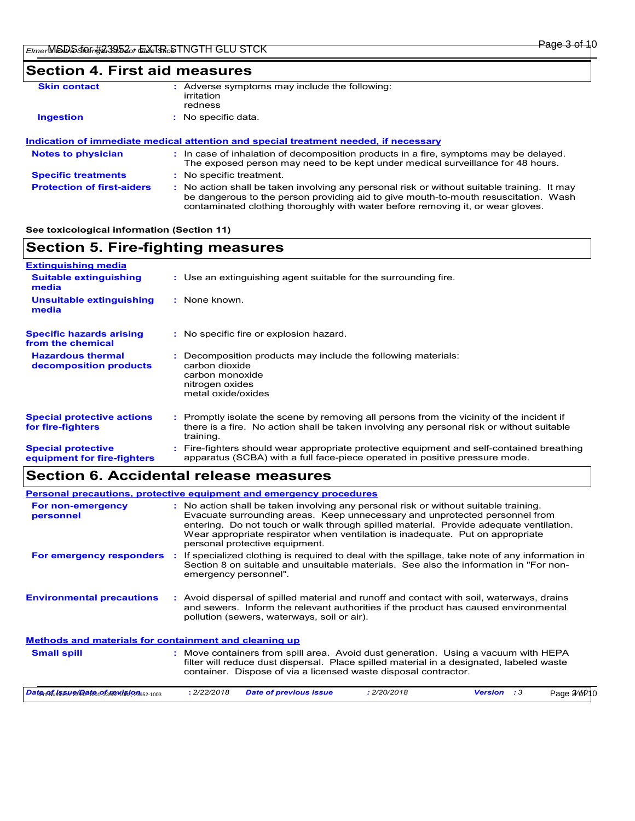### **Section 4. First aid measures**

| <b>Skin contact</b> | : Adverse symptoms may include the following:<br>irritation<br>redness               |  |
|---------------------|--------------------------------------------------------------------------------------|--|
| <b>Ingestion</b>    | : No specific data.                                                                  |  |
|                     | Indication of immediate medical attention and special treatment needed, if necessary |  |

|                                   | <u>Muncalion of Minibalate Mearcal alternon and Special Realment Necaed. Il necessary</u>                                                                                                                                                                             |
|-----------------------------------|-----------------------------------------------------------------------------------------------------------------------------------------------------------------------------------------------------------------------------------------------------------------------|
| <b>Notes to physician</b>         | : In case of inhalation of decomposition products in a fire, symptoms may be delayed.<br>The exposed person may need to be kept under medical surveillance for 48 hours.                                                                                              |
| <b>Specific treatments</b>        | : No specific treatment.                                                                                                                                                                                                                                              |
| <b>Protection of first-aiders</b> | : No action shall be taken involving any personal risk or without suitable training. It may<br>be dangerous to the person providing aid to give mouth-to-mouth resuscitation. Wash<br>contaminated clothing thoroughly with water before removing it, or wear gloves. |

#### **See toxicological information (Section 11)**

### **Section 5. Fire-fighting measures**

| <b>Extinguishing media</b>                               |                                                                                                                                                                                                     |
|----------------------------------------------------------|-----------------------------------------------------------------------------------------------------------------------------------------------------------------------------------------------------|
| <b>Suitable extinguishing</b><br>media                   | : Use an extinguishing agent suitable for the surrounding fire.                                                                                                                                     |
| <b>Unsuitable extinguishing</b><br>media                 | : None known.                                                                                                                                                                                       |
| <b>Specific hazards arising</b><br>from the chemical     | : No specific fire or explosion hazard.                                                                                                                                                             |
| <b>Hazardous thermal</b><br>decomposition products       | Decomposition products may include the following materials:<br>carbon dioxide<br>carbon monoxide<br>nitrogen oxides<br>metal oxide/oxides                                                           |
| <b>Special protective actions</b><br>for fire-fighters   | : Promptly isolate the scene by removing all persons from the vicinity of the incident if<br>there is a fire. No action shall be taken involving any personal risk or without suitable<br>training. |
| <b>Special protective</b><br>equipment for fire-fighters | Fire-fighters should wear appropriate protective equipment and self-contained breathing<br>apparatus (SCBA) with a full face-piece operated in positive pressure mode.                              |

### **Section 6. Accidental release measures**

|                                                       | Personal precautions, protective equipment and emergency procedures                                                                                                                                                                                                                                                                                                               |
|-------------------------------------------------------|-----------------------------------------------------------------------------------------------------------------------------------------------------------------------------------------------------------------------------------------------------------------------------------------------------------------------------------------------------------------------------------|
| For non-emergency<br>personnel                        | : No action shall be taken involving any personal risk or without suitable training.<br>Evacuate surrounding areas. Keep unnecessary and unprotected personnel from<br>entering. Do not touch or walk through spilled material. Provide adequate ventilation.<br>Wear appropriate respirator when ventilation is inadequate. Put on appropriate<br>personal protective equipment. |
| For emergency responders                              | If specialized clothing is required to deal with the spillage, take note of any information in<br>÷.<br>Section 8 on suitable and unsuitable materials. See also the information in "For non-<br>emergency personnel".                                                                                                                                                            |
| <b>Environmental precautions</b>                      | : Avoid dispersal of spilled material and runoff and contact with soil, waterways, drains<br>and sewers. Inform the relevant authorities if the product has caused environmental<br>pollution (sewers, waterways, soil or air).                                                                                                                                                   |
| Methods and materials for containment and cleaning up |                                                                                                                                                                                                                                                                                                                                                                                   |
| <b>Small spill</b>                                    | : Move containers from spill area. Avoid dust generation. Using a vacuum with HEPA<br>filter will reduce dust dispersal. Place spilled material in a designated, labeled waste<br>container. Dispose of via a licensed waste disposal contractor.                                                                                                                                 |
| Date of issue and of 150 Misions2-1003                | : 2/22/2018<br><b>Date of previous issue</b><br>: 2/20/2018<br><b>Version</b> : 3<br>Page 3/6P                                                                                                                                                                                                                                                                                    |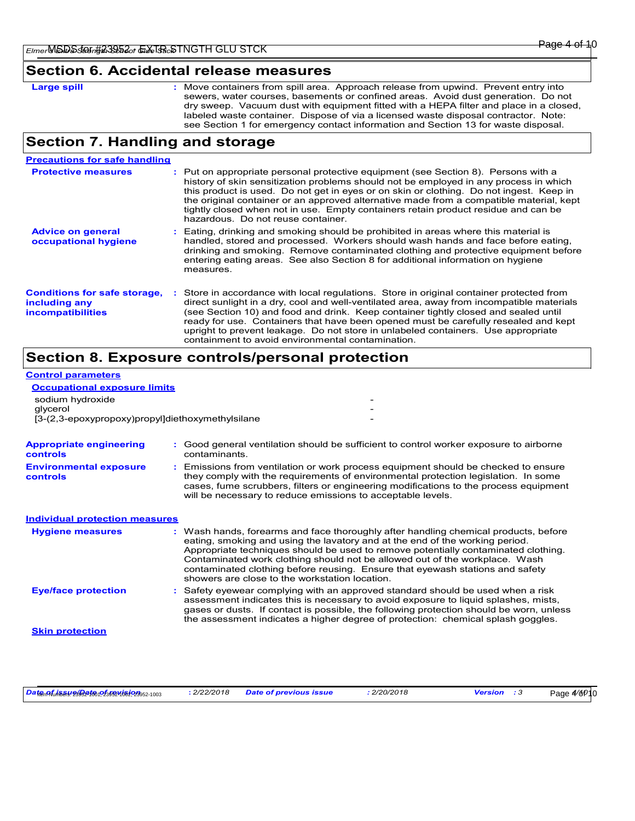Page 4<sup>/</sup>6<sup>p</sup>10

#### **Section 6. Accidental release measures**

| ro | -<br>. . | nil |
|----|----------|-----|
|    |          |     |

**Large spill the containers from spill area.** Approach release from upwind. Prevent entry into **Large spill** sewers, water courses, basements or confined areas. Avoid dust generation. Do not dry sweep. Vacuum dust with equipment fitted with a HEPA filter and place in a closed, labeled waste container. Dispose of via a licensed waste disposal contractor. Note: see Section 1 for emergency contact information and Section 13 for waste disposal.

### **Section 7. Handling and storage**

| <b>Precautions for safe handling</b>                                             |                                                                                                                                                                                                                                                                                                                                                                                                                                                                                                               |
|----------------------------------------------------------------------------------|---------------------------------------------------------------------------------------------------------------------------------------------------------------------------------------------------------------------------------------------------------------------------------------------------------------------------------------------------------------------------------------------------------------------------------------------------------------------------------------------------------------|
| <b>Protective measures</b>                                                       | : Put on appropriate personal protective equipment (see Section 8). Persons with a<br>history of skin sensitization problems should not be employed in any process in which<br>this product is used. Do not get in eyes or on skin or clothing. Do not ingest. Keep in<br>the original container or an approved alternative made from a compatible material, kept<br>tightly closed when not in use. Empty containers retain product residue and can be<br>hazardous. Do not reuse container.                 |
| <b>Advice on general</b><br>occupational hygiene                                 | : Eating, drinking and smoking should be prohibited in areas where this material is<br>handled, stored and processed. Workers should wash hands and face before eating.<br>drinking and smoking. Remove contaminated clothing and protective equipment before<br>entering eating areas. See also Section 8 for additional information on hygiene<br>measures.                                                                                                                                                 |
| <b>Conditions for safe storage,</b><br>including any<br><i>incompatibilities</i> | : Store in accordance with local regulations. Store in original container protected from<br>direct sunlight in a dry, cool and well-ventilated area, away from incompatible materials<br>(see Section 10) and food and drink. Keep container tightly closed and sealed until<br>ready for use. Containers that have been opened must be carefully resealed and kept<br>upright to prevent leakage. Do not store in unlabeled containers. Use appropriate<br>containment to avoid environmental contamination. |

### **Section 8. Exposure controls/personal protection**

### **Control parameters**

| <b>Occupational exposure limits</b><br>sodium hydroxide<br>glycerol<br>[3-(2,3-epoxypropoxy)propyl]diethoxymethylsilane |                                                                                                                                                                                                                                                                                                                                                                                                                                                                             |
|-------------------------------------------------------------------------------------------------------------------------|-----------------------------------------------------------------------------------------------------------------------------------------------------------------------------------------------------------------------------------------------------------------------------------------------------------------------------------------------------------------------------------------------------------------------------------------------------------------------------|
| <b>Appropriate engineering</b><br><b>controls</b>                                                                       | : Good general ventilation should be sufficient to control worker exposure to airborne<br>contaminants.                                                                                                                                                                                                                                                                                                                                                                     |
| <b>Environmental exposure</b><br>controls                                                                               | : Emissions from ventilation or work process equipment should be checked to ensure<br>they comply with the requirements of environmental protection legislation. In some<br>cases, fume scrubbers, filters or engineering modifications to the process equipment<br>will be necessary to reduce emissions to acceptable levels.                                                                                                                                             |
| <b>Individual protection measures</b>                                                                                   |                                                                                                                                                                                                                                                                                                                                                                                                                                                                             |
| <b>Hygiene measures</b>                                                                                                 | : Wash hands, forearms and face thoroughly after handling chemical products, before<br>eating, smoking and using the lavatory and at the end of the working period.<br>Appropriate techniques should be used to remove potentially contaminated clothing.<br>Contaminated work clothing should not be allowed out of the workplace. Wash<br>contaminated clothing before reusing. Ensure that eyewash stations and safety<br>showers are close to the workstation location. |
| <b>Eye/face protection</b>                                                                                              | : Safety eyewear complying with an approved standard should be used when a risk<br>assessment indicates this is necessary to avoid exposure to liquid splashes, mists,<br>gases or dusts. If contact is possible, the following protection should be worn, unless<br>the assessment indicates a higher degree of protection: chemical splash goggles.                                                                                                                       |
| <b>Skin protection</b>                                                                                                  |                                                                                                                                                                                                                                                                                                                                                                                                                                                                             |

 $D$ at<sub>tem</sub> nf<sub>umber</sub>s: 2/20/2018 **//** *2/2018 Date of previous issue <i>: 2/20/2018* **Version** *:* 3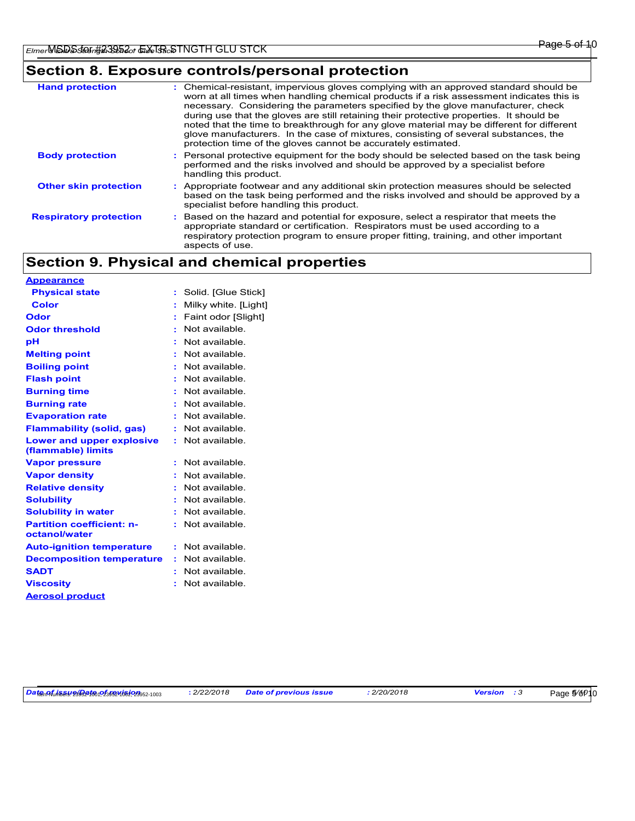### **Section 8. Exposure controls/personal protection**

| <b>Hand protection</b>        | : Chemical-resistant, impervious gloves complying with an approved standard should be<br>worn at all times when handling chemical products if a risk assessment indicates this is<br>necessary. Considering the parameters specified by the glove manufacturer, check<br>during use that the gloves are still retaining their protective properties. It should be<br>noted that the time to breakthrough for any glove material may be different for different<br>glove manufacturers. In the case of mixtures, consisting of several substances, the<br>protection time of the gloves cannot be accurately estimated. |
|-------------------------------|------------------------------------------------------------------------------------------------------------------------------------------------------------------------------------------------------------------------------------------------------------------------------------------------------------------------------------------------------------------------------------------------------------------------------------------------------------------------------------------------------------------------------------------------------------------------------------------------------------------------|
| <b>Body protection</b>        | : Personal protective equipment for the body should be selected based on the task being<br>performed and the risks involved and should be approved by a specialist before<br>handling this product.                                                                                                                                                                                                                                                                                                                                                                                                                    |
| <b>Other skin protection</b>  | : Appropriate footwear and any additional skin protection measures should be selected<br>based on the task being performed and the risks involved and should be approved by a<br>specialist before handling this product.                                                                                                                                                                                                                                                                                                                                                                                              |
| <b>Respiratory protection</b> | : Based on the hazard and potential for exposure, select a respirator that meets the<br>appropriate standard or certification. Respirators must be used according to a<br>respiratory protection program to ensure proper fitting, training, and other important<br>aspects of use.                                                                                                                                                                                                                                                                                                                                    |

## **Section 9. Physical and chemical properties**

| <b>Appearance</b>                               |    |                      |
|-------------------------------------------------|----|----------------------|
| <b>Physical state</b>                           | ÷  | Solid. [Glue Stick]  |
| <b>Color</b>                                    |    | Milky white. [Light] |
| Odor                                            | ÷  | Faint odor [Slight]  |
| <b>Odor threshold</b>                           |    | Not available.       |
| рH                                              |    | Not available.       |
| <b>Melting point</b>                            |    | Not available        |
| <b>Boiling point</b>                            |    | Not available.       |
| <b>Flash point</b>                              |    | Not available        |
| <b>Burning time</b>                             |    | Not available.       |
| <b>Burning rate</b>                             |    | Not available.       |
| <b>Evaporation rate</b>                         | Ĩ. | Not available.       |
| <b>Flammability (solid, gas)</b>                |    | Not available.       |
| Lower and upper explosive<br>(flammable) limits |    | Not available.       |
| <b>Vapor pressure</b>                           |    | Not available.       |
| <b>Vapor density</b>                            |    | Not available.       |
| <b>Relative density</b>                         |    | Not available.       |
| <b>Solubility</b>                               | ÷  | Not available.       |
| <b>Solubility in water</b>                      | ÷  | Not available.       |
| <b>Partition coefficient: n-</b>                |    | Not available.       |
| octanol/water                                   |    |                      |
| <b>Auto-ignition temperature</b>                | ÷  | Not available.       |
| <b>Decomposition temperature</b>                | ÷  | Not available.       |
| <b>SADT</b>                                     |    | Not available.       |
| Viscosity                                       |    | Not available        |
| <b>Aerosol product</b>                          |    |                      |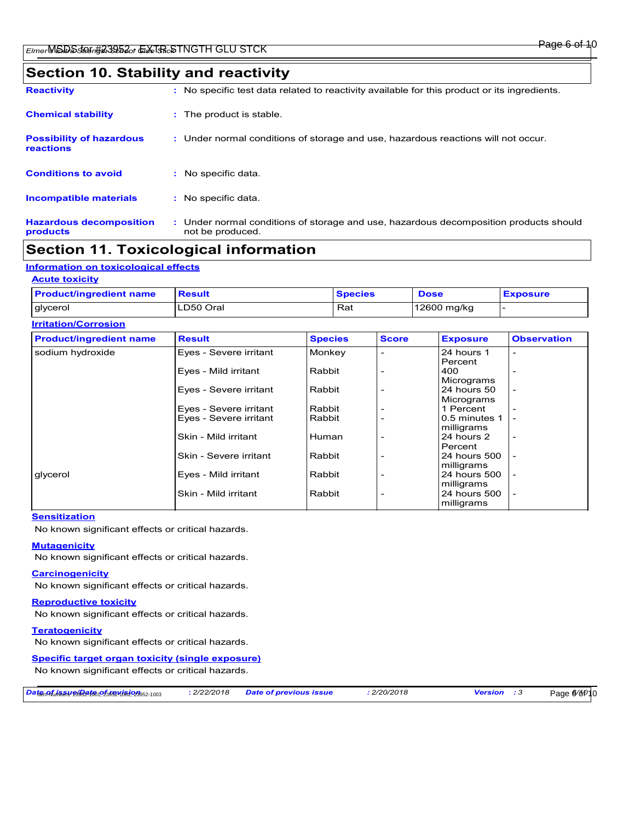### **Section 10. Stability and reactivity**

| <b>Reactivity</b>                            | : No specific test data related to reactivity available for this product or its ingredients.              |
|----------------------------------------------|-----------------------------------------------------------------------------------------------------------|
| <b>Chemical stability</b>                    | : The product is stable.                                                                                  |
| <b>Possibility of hazardous</b><br>reactions | : Under normal conditions of storage and use, hazardous reactions will not occur.                         |
| <b>Conditions to avoid</b>                   | : No specific data.                                                                                       |
| <b>Incompatible materials</b>                | : No specific data.                                                                                       |
| <b>Hazardous decomposition</b><br>products   | : Under normal conditions of storage and use, hazardous decomposition products should<br>not be produced. |

### **Section 11. Toxicological information**

### **Information on toxicological effects**

#### **Acute toxicity**

| <b>Product/ingredient name</b> | <b>Result</b> | <b>Species</b> | <b>Dose</b> | <b>Exposure</b> |
|--------------------------------|---------------|----------------|-------------|-----------------|
| glycerol                       | LD50 Oral     | Rat            | 12600 mg/kg |                 |

| <b>Irritation/Corrosion</b>    |                        |                |                          |                             |                          |
|--------------------------------|------------------------|----------------|--------------------------|-----------------------------|--------------------------|
| <b>Product/ingredient name</b> | <b>Result</b>          | <b>Species</b> | <b>Score</b>             | <b>Exposure</b>             | <b>Observation</b>       |
| sodium hydroxide               | Eyes - Severe irritant | Monkey         |                          | 24 hours 1<br>Percent       |                          |
|                                | Eyes - Mild irritant   | Rabbit         |                          | 400<br>Micrograms           |                          |
|                                | Eyes - Severe irritant | Rabbit         |                          | 24 hours 50<br>Micrograms   | $\overline{\phantom{a}}$ |
|                                | Eyes - Severe irritant | Rabbit         |                          | 1 Percent                   |                          |
|                                | Eyes - Severe irritant | Rabbit         |                          | 0.5 minutes 1<br>milligrams |                          |
|                                | Skin - Mild irritant   | Human          |                          | 24 hours 2<br>Percent       |                          |
|                                | Skin - Severe irritant | Rabbit         | $\overline{\phantom{0}}$ | 24 hours 500<br>milligrams  | $\overline{\phantom{0}}$ |
| glycerol                       | Eyes - Mild irritant   | Rabbit         |                          | 24 hours 500<br>milligrams  | $\overline{\phantom{a}}$ |
|                                | Skin - Mild irritant   | Rabbit         | $\overline{\phantom{0}}$ | 24 hours 500<br>milligrams  |                          |

#### **Sensitization**

No known significant effects or critical hazards.

#### **Mutagenicity**

No known significant effects or critical hazards.

#### **Carcinogenicity**

No known significant effects or critical hazards.

#### **Reproductive toxicity**

No known significant effects or critical hazards.

#### **Teratogenicity**

No known significant effects or critical hazards.

#### **Specific target organ toxicity (single exposure)**

No known significant effects or critical hazards.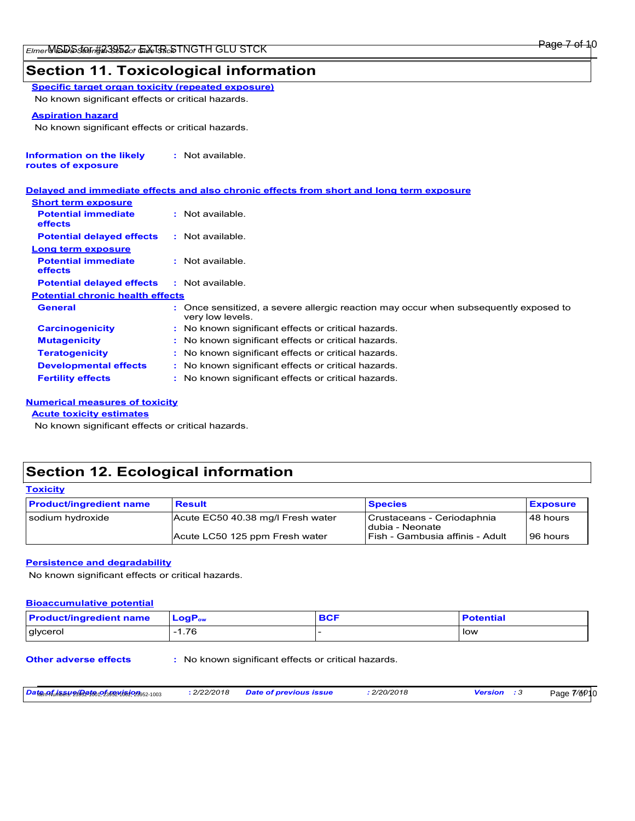### **Section 11. Toxicological information**

**Specific target organ toxicity (repeated exposure)** No known significant effects or critical hazards.

#### **Aspiration hazard**

No known significant effects or critical hazards.

| <b>Information on the likely</b> | : Not available. |
|----------------------------------|------------------|
| routes of exposure               |                  |

|                                              | Delayed and immediate effects and also chronic effects from short and long term exposure                 |
|----------------------------------------------|----------------------------------------------------------------------------------------------------------|
| <b>Short term exposure</b>                   |                                                                                                          |
| <b>Potential immediate</b><br><b>effects</b> | $:$ Not available.                                                                                       |
| <b>Potential delayed effects</b>             | : Not available.                                                                                         |
| Long term exposure                           |                                                                                                          |
| <b>Potential immediate</b><br><b>effects</b> | $:$ Not available.                                                                                       |
| <b>Potential delayed effects</b>             | : Not available.                                                                                         |
| <b>Potential chronic health effects</b>      |                                                                                                          |
| <b>General</b>                               | : Once sensitized, a severe allergic reaction may occur when subsequently exposed to<br>very low levels. |
| <b>Carcinogenicity</b>                       | : No known significant effects or critical hazards.                                                      |
| <b>Mutagenicity</b>                          | : No known significant effects or critical hazards.                                                      |
| <b>Teratogenicity</b>                        | : No known significant effects or critical hazards.                                                      |
| <b>Developmental effects</b>                 | : No known significant effects or critical hazards.                                                      |
| <b>Fertility effects</b>                     | : No known significant effects or critical hazards.                                                      |

#### **Numerical measures of toxicity**

**Acute toxicity estimates**

No known significant effects or critical hazards.

### **Section 12. Ecological information**

| <b>Toxicity</b>                |                                   |                                               |                 |  |  |
|--------------------------------|-----------------------------------|-----------------------------------------------|-----------------|--|--|
| <b>Product/ingredient name</b> | <b>Result</b>                     | <b>Species</b>                                | <b>Exposure</b> |  |  |
| sodium hydroxide               | Acute EC50 40.38 mg/l Fresh water | Crustaceans - Ceriodaphnia<br>dubia - Neonate | 48 hours        |  |  |
|                                | Acute LC50 125 ppm Fresh water    | Fish - Gambusia affinis - Adult               | 96 hours        |  |  |

#### **Persistence and degradability**

No known significant effects or critical hazards.

#### **Bioaccumulative potential**

| <b>Product/ingredient name</b> | <b>LoaP</b> <sub>ow</sub> | <b>BCF</b> | <b>Potential</b> |
|--------------------------------|---------------------------|------------|------------------|
| glycerol                       | 1.76                      |            | low              |

**Other adverse effects** : No known significant effects or critical hazards.

*Date of issue/Date of revision* Item Numbers: 23952-1001, 23952-1002, 23952-1003 **:** *2/22/2018 Date of previous issue : 2/20/2018 Version : 3*

Page 7/6<sub>p10</sub>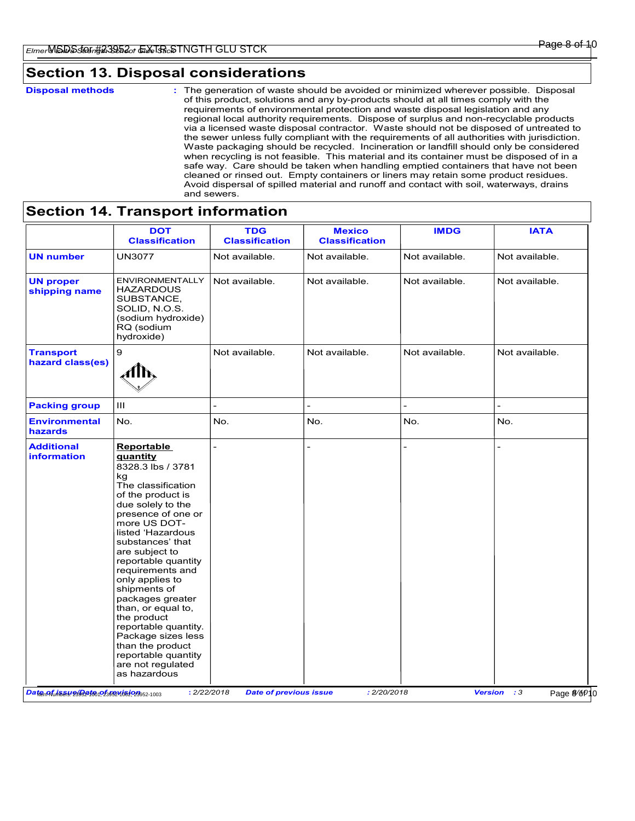### **Section 13. Disposal considerations**

**Disposal methods :**

The generation of waste should be avoided or minimized wherever possible. Disposal of this product, solutions and any by-products should at all times comply with the requirements of environmental protection and waste disposal legislation and any regional local authority requirements. Dispose of surplus and non-recyclable products via a licensed waste disposal contractor. Waste should not be disposed of untreated to the sewer unless fully compliant with the requirements of all authorities with jurisdiction. Waste packaging should be recycled. Incineration or landfill should only be considered when recycling is not feasible. This material and its container must be disposed of in a safe way. Care should be taken when handling emptied containers that have not been cleaned or rinsed out. Empty containers or liners may retain some product residues. Avoid dispersal of spilled material and runoff and contact with soil, waterways, drains and sewers.

|                                      | <b>DOT</b><br><b>Classification</b>                                                                                                                                                                                                                                                                                                                                                                                                                                                                   | <b>TDG</b><br><b>Classification</b> | <b>Mexico</b><br><b>Classification</b> | <b>IMDG</b>    | <b>IATA</b>    |
|--------------------------------------|-------------------------------------------------------------------------------------------------------------------------------------------------------------------------------------------------------------------------------------------------------------------------------------------------------------------------------------------------------------------------------------------------------------------------------------------------------------------------------------------------------|-------------------------------------|----------------------------------------|----------------|----------------|
| <b>UN number</b>                     | <b>UN3077</b>                                                                                                                                                                                                                                                                                                                                                                                                                                                                                         | Not available.                      | Not available.                         | Not available. | Not available. |
| <b>UN proper</b><br>shipping name    | ENVIRONMENTALLY<br><b>HAZARDOUS</b><br>SUBSTANCE,<br>SOLID, N.O.S.<br>(sodium hydroxide)<br>RQ (sodium<br>hydroxide)                                                                                                                                                                                                                                                                                                                                                                                  | Not available.                      | Not available.                         | Not available. | Not available. |
| <b>Transport</b><br>hazard class(es) | 9<br>∦lՒ                                                                                                                                                                                                                                                                                                                                                                                                                                                                                              | Not available.                      | Not available.                         | Not available. | Not available. |
| <b>Packing group</b>                 | Ш                                                                                                                                                                                                                                                                                                                                                                                                                                                                                                     |                                     |                                        |                |                |
| <b>Environmental</b><br>hazards      | No.                                                                                                                                                                                                                                                                                                                                                                                                                                                                                                   | No.                                 | No.                                    | No.            | No.            |
| <b>Additional</b><br>information     | <b>Reportable</b><br><b>guantity</b><br>8328.3 lbs / 3781<br>kq<br>The classification<br>of the product is<br>due solely to the<br>presence of one or<br>more US DOT-<br>listed 'Hazardous<br>substances' that<br>are subject to<br>reportable quantity<br>requirements and<br>only applies to<br>shipments of<br>packages greater<br>than, or equal to,<br>the product<br>reportable quantity.<br>Package sizes less<br>than the product<br>reportable quantity<br>are not regulated<br>as hazardous | $\overline{a}$                      |                                        |                |                |

### **Section 14. Transport information**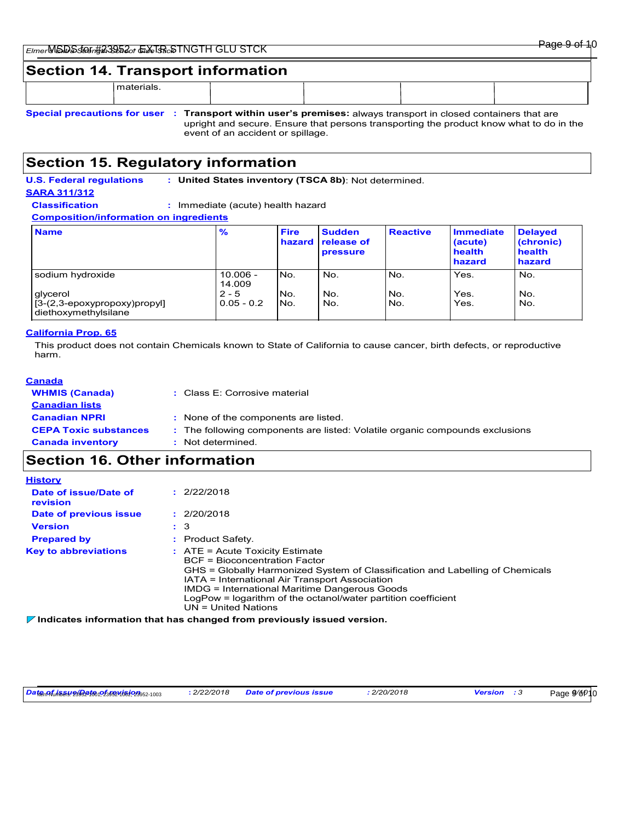|  | ' SILN | $\sim$<br>Dono<br>auc-<br>ு<br>™ |
|--|--------|----------------------------------|
|  |        |                                  |

### **Section 14. Transport information**

materials.

**Special precautions for user Transport within user's premises:** always transport in closed containers that are **:** upright and secure. Ensure that persons transporting the product know what to do in the event of an accident or spillage.

### **Section 15. Regulatory information**

**U.S. Federal regulations : United States inventory (TSCA 8b)**: Not determined. **SARA 311/312 Classification :** Immediate (acute) health hazard

**Composition/information on ingredients**

| <b>Name</b>                                              | %                       | <b>Fire</b><br>hazard | <b>Sudden</b><br>release of<br><b>pressure</b> | <b>Reactive</b> | <b>Immediate</b><br>(acute)<br>health<br>hazard | <b>Delayed</b><br>(chronic)<br>health<br>hazard |
|----------------------------------------------------------|-------------------------|-----------------------|------------------------------------------------|-----------------|-------------------------------------------------|-------------------------------------------------|
| sodium hydroxide                                         | $10.006 -$<br>14.009    | No.                   | No.                                            | No.             | Yes.                                            | No.                                             |
| glycerol<br>$[3-(2,3-\epsilon) \text{cov}(\text{prop})]$ | $2 - 5$<br>$0.05 - 0.2$ | No.<br>No.            | No.<br>No.                                     | No.<br>No.      | Yes.<br>Yes.                                    | No.<br>No.                                      |
| diethoxymethylsilane                                     |                         |                       |                                                |                 |                                                 |                                                 |

#### **California Prop. 65**

This product does not contain Chemicals known to State of California to cause cancer, birth defects, or reproductive harm.

| Canada                       |                                                                              |
|------------------------------|------------------------------------------------------------------------------|
| <b>WHMIS (Canada)</b>        | : Class E: Corrosive material                                                |
| <b>Canadian lists</b>        |                                                                              |
| <b>Canadian NPRI</b>         | : None of the components are listed.                                         |
| <b>CEPA Toxic substances</b> | : The following components are listed: Volatile organic compounds exclusions |
| <b>Canada inventory</b>      | : Not determined.                                                            |
|                              |                                                                              |

### **Section 16. Other information**

| <b>History</b>                    |                                                                                                                                                                                                                                                                                                                                                                  |
|-----------------------------------|------------------------------------------------------------------------------------------------------------------------------------------------------------------------------------------------------------------------------------------------------------------------------------------------------------------------------------------------------------------|
| Date of issue/Date of<br>revision | : 2/22/2018                                                                                                                                                                                                                                                                                                                                                      |
| Date of previous issue            | : 2/20/2018                                                                                                                                                                                                                                                                                                                                                      |
| <b>Version</b>                    | : 3                                                                                                                                                                                                                                                                                                                                                              |
| <b>Prepared by</b>                | : Product Safety.                                                                                                                                                                                                                                                                                                                                                |
| <b>Key to abbreviations</b>       | $\therefore$ ATE = Acute Toxicity Estimate<br><b>BCF</b> = Bioconcentration Factor<br>GHS = Globally Harmonized System of Classification and Labelling of Chemicals<br>IATA = International Air Transport Association<br>IMDG = International Maritime Dangerous Goods<br>LogPow = logarithm of the octanol/water partition coefficient<br>$UN = United Nations$ |

**Indicates information that has changed from previously issued version.**